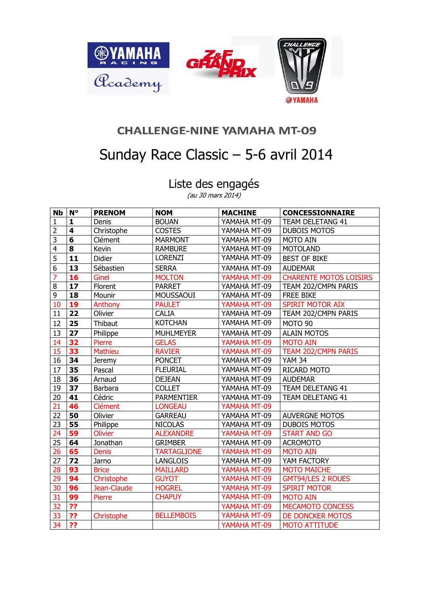

## **CHALLENGE-NINE YAMAHA MT-09**

## Sunday Race Classic – 5-6 avril 2014

Liste des engagés

(au 30 mars 2014)

| <b>Nb</b>       | $N^{\circ}$             | <b>PRENOM</b>  | <b>NOM</b>         | <b>MACHINE</b> | <b>CONCESSIONNAIRE</b>        |
|-----------------|-------------------------|----------------|--------------------|----------------|-------------------------------|
| 1               | $\mathbf{1}$            | Denis          | <b>BOUAN</b>       | YAMAHA MT-09   | <b>TEAM DELETANG 41</b>       |
| $\overline{2}$  | $\overline{\mathbf{4}}$ | Christophe     | <b>COSTES</b>      | YAMAHA MT-09   | <b>DUBOIS MOTOS</b>           |
| $\overline{3}$  | $6\phantom{1}$          | Clément        | <b>MARMONT</b>     | YAMAHA MT-09   | MOTO AIN                      |
| $\overline{4}$  | 8                       | Kevin          | <b>RAMBURE</b>     | YAMAHA MT-09   | <b>MOTOLAND</b>               |
| 5               | 11                      | Didier         | <b>LORENZI</b>     | YAMAHA MT-09   | <b>BEST OF BIKE</b>           |
| $\overline{6}$  | 13                      | Sébastien      | <b>SERRA</b>       | YAMAHA MT-09   | <b>AUDEMAR</b>                |
| 7               | 16                      | Ginel          | <b>MOLTON</b>      | YAMAHA MT-09   | <b>CHARENTE MOTOS LOISIRS</b> |
| $\overline{8}$  | 17                      | Florent        | <b>PARRET</b>      | YAMAHA MT-09   | TEAM 202/CMPN PARIS           |
| $\overline{9}$  | 18                      | Mounir         | MOUSSAOUI          | YAMAHA MT-09   | <b>FREE BIKE</b>              |
| 10              | 19                      | Anthony        | <b>PAULET</b>      | YAMAHA MT-09   | <b>SPIRIT MOTOR AIX</b>       |
| 11              | 22                      | Olivier        | <b>CALIA</b>       | YAMAHA MT-09   | TEAM 202/CMPN PARIS           |
| 12              | 25                      | Thibaut        | <b>KOTCHAN</b>     | YAMAHA MT-09   | MOTO 90                       |
| 13              | 27                      | Philippe       | <b>MUHLMEYER</b>   | YAMAHA MT-09   | <b>ALAIN MOTOS</b>            |
| 14              | 32                      | Pierre         | <b>GELAS</b>       | YAMAHA MT-09   | <b>MOTO AIN</b>               |
| 15              | 33                      | Mathieu        | <b>RAVIER</b>      | YAMAHA MT-09   | <b>TEAM 202/CMPN PARIS</b>    |
| 16              | 34                      | <b>Jeremy</b>  | <b>PONCET</b>      | YAMAHA MT-09   | <b>YAM 34</b>                 |
| 17              | 35                      | Pascal         | <b>FLEURIAL</b>    | YAMAHA MT-09   | RICARD MOTO                   |
| 18              | 36                      | Arnaud         | <b>DEJEAN</b>      | YAMAHA MT-09   | <b>AUDEMAR</b>                |
| 19              | 37                      | Barbara        | <b>COLLET</b>      | YAMAHA MT-09   | TEAM DELETANG 41              |
| 20              | 41                      | Cédric         | <b>PARMENTIER</b>  | YAMAHA MT-09   | <b>TEAM DELETANG 41</b>       |
| 21              | 46                      | <b>Clément</b> | <b>LONGEAU</b>     | YAMAHA MT-09   |                               |
| $\overline{22}$ | 50                      | Olivier        | <b>GARREAU</b>     | YAMAHA MT-09   | <b>AUVERGNE MOTOS</b>         |
| 23              | 55                      | Philippe       | <b>NICOLAS</b>     | YAMAHA MT-09   | <b>DUBOIS MOTOS</b>           |
| 24              | 59                      | <b>Olivier</b> | <b>ALEXANDRE</b>   | YAMAHA MT-09   | <b>START AND GO</b>           |
| 25              | 64                      | Jonathan       | <b>GRIMBER</b>     | YAMAHA MT-09   | <b>ACROMOTO</b>               |
| 26              | 65                      | <b>Denis</b>   | <b>TARTAGLIONE</b> | YAMAHA MT-09   | <b>MOTO AIN</b>               |
| $\overline{27}$ | 72                      | Jarno          | <b>LANGLOIS</b>    | YAMAHA MT-09   | YAM FACTORY                   |
| $\overline{28}$ | 93                      | <b>Brice</b>   | <b>MAILLARD</b>    | YAMAHA MT-09   | <b>MOTO MAICHE</b>            |
| 29              | 94                      | Christophe     | <b>GUYOT</b>       | YAMAHA MT-09   | <b>GMT94/LES 2 ROUES</b>      |
| 30              | 96                      | Jean-Claude    | <b>HOGREL</b>      | YAMAHA MT-09   | <b>SPIRIT MOTOR</b>           |
| 31              | 99                      | Pierre         | <b>CHAPUY</b>      | YAMAHA MT-09   | <b>MOTO AIN</b>               |
| 32              | $\overline{?}$          |                |                    | YAMAHA MT-09   | MECAMOTO CONCESS              |
| 33              | ??                      | Christophe     | <b>BELLEMBOIS</b>  | YAMAHA MT-09   | DE DONCKER MOTOS              |
| 34              | ??                      |                |                    | YAMAHA MT-09   | <b>MOTO ATTITUDE</b>          |